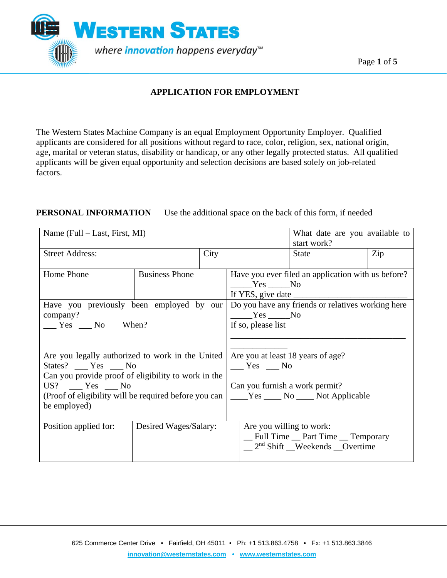

### **APPLICATION FOR EMPLOYMENT**

The Western States Machine Company is an equal Employment Opportunity Employer. Qualified applicants are considered for all positions without regard to race, color, religion, sex, national origin, age, marital or veteran status, disability or handicap, or any other legally protected status. All qualified applicants will be given equal opportunity and selection decisions are based solely on job-related factors.

### **PERSONAL INFORMATION** Use the additional space on the back of this form, if needed

| Name (Full – Last, First, MI)                                                                                                                                                                                                  |                       |      | What date are you available to<br>start work?                                                                                  |                                                                                  |     |  |  |  |  |  |
|--------------------------------------------------------------------------------------------------------------------------------------------------------------------------------------------------------------------------------|-----------------------|------|--------------------------------------------------------------------------------------------------------------------------------|----------------------------------------------------------------------------------|-----|--|--|--|--|--|
| <b>Street Address:</b>                                                                                                                                                                                                         |                       | City |                                                                                                                                | <b>State</b>                                                                     | Zip |  |  |  |  |  |
| Home Phone                                                                                                                                                                                                                     | <b>Business Phone</b> |      |                                                                                                                                | Have you ever filed an application with us before?<br>Yes No                     |     |  |  |  |  |  |
| company?<br>$\frac{1}{\sqrt{1 - x^2}}$ Yes $\frac{1}{\sqrt{1 - x^2}}$ No When?                                                                                                                                                 |                       |      | Have you previously been employed by our   Do you have any friends or relatives working here<br>$Yes$ No<br>If so, please list |                                                                                  |     |  |  |  |  |  |
| Are you legally authorized to work in the United<br>States? ___ Yes ___ No<br>Can you provide proof of eligibility to work in the<br>$US?$ $Yes$ $No$<br>(Proof of eligibility will be required before you can<br>be employed) |                       |      | Are you at least 18 years of age?<br>$Yes$ No<br>Can you furnish a work permit?                                                | _____Yes ______ No _____ Not Applicable                                          |     |  |  |  |  |  |
| Position applied for:                                                                                                                                                                                                          | Desired Wages/Salary: |      | Are you willing to work:                                                                                                       | _Full Time _ Part Time _ Temporary<br>$\frac{2^{nd}}{1}$ Shift Weekends Overtime |     |  |  |  |  |  |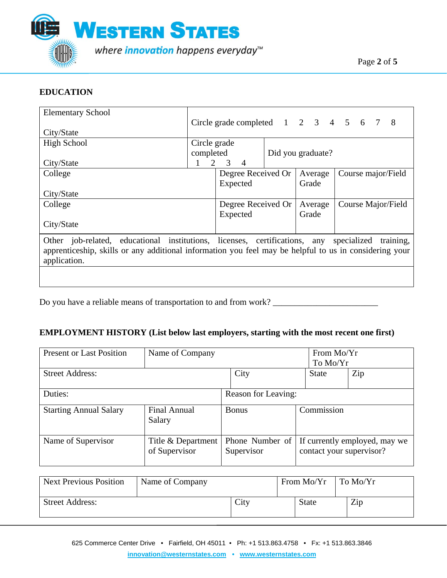

#### **EDUCATION**

| <b>Elementary School</b>                                                                                                                                                                                         |              | Circle grade completed $1 \t2 \t3 \t4 \t5 \t6 \t7$ |                   | - 8                |
|------------------------------------------------------------------------------------------------------------------------------------------------------------------------------------------------------------------|--------------|----------------------------------------------------|-------------------|--------------------|
| City/State                                                                                                                                                                                                       |              |                                                    |                   |                    |
| High School                                                                                                                                                                                                      | Circle grade |                                                    |                   |                    |
|                                                                                                                                                                                                                  | completed    |                                                    | Did you graduate? |                    |
| City/State                                                                                                                                                                                                       | 1            | 2<br>3<br>$\overline{4}$                           |                   |                    |
| College                                                                                                                                                                                                          |              | Degree Received Or                                 | Average           | Course major/Field |
|                                                                                                                                                                                                                  |              | Expected                                           | Grade             |                    |
| City/State                                                                                                                                                                                                       |              |                                                    |                   |                    |
| College                                                                                                                                                                                                          |              | Degree Received Or                                 | Average           | Course Major/Field |
|                                                                                                                                                                                                                  |              | Expected                                           | Grade             |                    |
| City/State                                                                                                                                                                                                       |              |                                                    |                   |                    |
| Other job-related, educational institutions, licenses, certifications, any specialized<br>apprenticeship, skills or any additional information you feel may be helpful to us in considering your<br>application. |              |                                                    |                   | training,          |

Do you have a reliable means of transportation to and from work?

#### **EMPLOYMENT HISTORY (List below last employers, starting with the most recent one first)**

| <b>Present or Last Position</b> | Name of Company                     |  |                               |  | From Mo/Yr<br>To Mo/Yr   |                               |  |
|---------------------------------|-------------------------------------|--|-------------------------------|--|--------------------------|-------------------------------|--|
| <b>Street Address:</b>          |                                     |  | City                          |  | <b>State</b>             | Zip                           |  |
| Duties:                         |                                     |  | Reason for Leaving:           |  |                          |                               |  |
| <b>Starting Annual Salary</b>   | Final Annual<br>Salary              |  | <b>Bonus</b>                  |  | Commission               |                               |  |
| Name of Supervisor              | Title & Department<br>of Supervisor |  | Phone Number of<br>Supervisor |  | contact your supervisor? | If currently employed, may we |  |

| <b>Next Previous Position</b> | Name of Company |      | From Mo/Yr | $\overline{\mathrm{L}}$ To Mo/Yr |
|-------------------------------|-----------------|------|------------|----------------------------------|
| <b>Street Address:</b>        |                 | City | State      | Zip                              |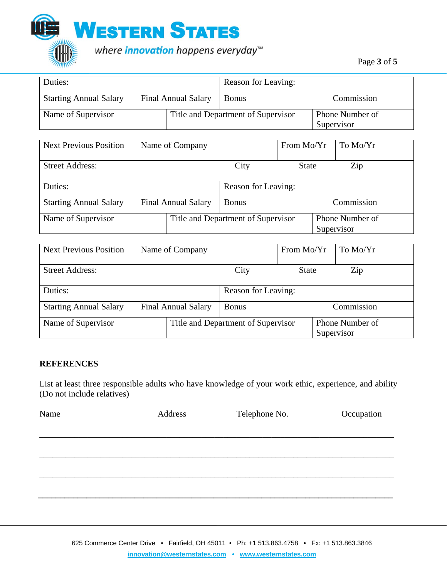

| Duties:                       |                            | Reason for Leaving: |                                    |            |                               |
|-------------------------------|----------------------------|---------------------|------------------------------------|------------|-------------------------------|
| <b>Starting Annual Salary</b> | <b>Final Annual Salary</b> |                     | <b>Bonus</b>                       | Commission |                               |
| Name of Supervisor            |                            |                     | Title and Department of Supervisor |            | Phone Number of<br>Supervisor |

| <b>Next Previous Position</b> |  | Name of Company                            |  |                     |  | From $Mo/Yr$ |            |  | To Mo/Yr        |
|-------------------------------|--|--------------------------------------------|--|---------------------|--|--------------|------------|--|-----------------|
| <b>Street Address:</b>        |  | City                                       |  | <b>State</b>        |  |              | Zip        |  |                 |
| Duties:                       |  |                                            |  | Reason for Leaving: |  |              |            |  |                 |
| <b>Starting Annual Salary</b> |  | <b>Final Annual Salary</b><br><b>Bonus</b> |  |                     |  |              |            |  | Commission      |
| Name of Supervisor            |  | Title and Department of Supervisor         |  |                     |  |              | Supervisor |  | Phone Number of |

| <b>Next Previous Position</b> |  | Name of Company                    |                     |              | From $Mo/Yr$ |  |            | To Mo/Yr |                 |
|-------------------------------|--|------------------------------------|---------------------|--------------|--------------|--|------------|----------|-----------------|
| <b>Street Address:</b>        |  |                                    |                     | City         | <b>State</b> |  |            |          | Zip             |
| Duties:                       |  |                                    | Reason for Leaving: |              |              |  |            |          |                 |
| <b>Starting Annual Salary</b> |  | <b>Final Annual Salary</b>         |                     | <b>Bonus</b> |              |  |            |          | Commission      |
| Name of Supervisor            |  | Title and Department of Supervisor |                     |              |              |  | Supervisor |          | Phone Number of |

#### **REFERENCES**

List at least three responsible adults who have knowledge of your work ethic, experience, and ability (Do not include relatives)

| Name | Address | Telephone No. | Occupation |
|------|---------|---------------|------------|
|      |         |               |            |

\_\_\_\_\_\_\_\_\_\_\_\_\_\_\_\_\_\_\_\_\_\_\_\_\_\_\_\_\_\_\_\_\_\_\_\_\_\_\_\_\_\_\_\_\_\_\_\_\_\_\_\_\_\_\_\_\_\_\_\_\_\_\_\_\_\_\_\_\_\_\_\_\_\_\_\_\_\_\_\_\_

 **\_\_\_\_\_\_\_\_\_\_\_\_\_\_\_\_\_\_\_\_\_\_\_\_\_\_\_\_\_\_\_\_\_\_\_\_\_\_\_\_\_\_\_\_\_\_\_\_\_\_\_\_\_\_\_\_\_\_\_\_\_\_\_\_\_\_\_\_\_\_\_\_\_\_\_\_\_\_\_\_\_**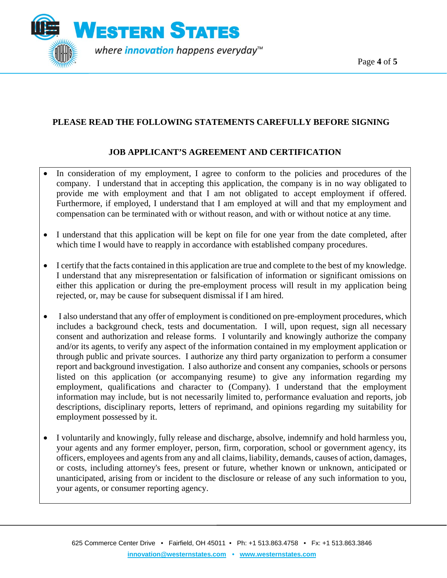Page **4** of **5**



# **PLEASE READ THE FOLLOWING STATEMENTS CAREFULLY BEFORE SIGNING**

# **JOB APPLICANT'S AGREEMENT AND CERTIFICATION**

- In consideration of my employment, I agree to conform to the policies and procedures of the company. I understand that in accepting this application, the company is in no way obligated to provide me with employment and that I am not obligated to accept employment if offered. Furthermore, if employed, I understand that I am employed at will and that my employment and compensation can be terminated with or without reason, and with or without notice at any time.
- I understand that this application will be kept on file for one year from the date completed, after which time I would have to reapply in accordance with established company procedures.
- I certify that the facts contained in this application are true and complete to the best of my knowledge. I understand that any misrepresentation or falsification of information or significant omissions on either this application or during the pre-employment process will result in my application being rejected, or, may be cause for subsequent dismissal if I am hired.
- I also understand that any offer of employment is conditioned on pre-employment procedures, which includes a background check, tests and documentation. I will, upon request, sign all necessary consent and authorization and release forms. I voluntarily and knowingly authorize the company and/or its agents, to verify any aspect of the information contained in my employment application or through public and private sources. I authorize any third party organization to perform a consumer report and background investigation. I also authorize and consent any companies, schools or persons listed on this application (or accompanying resume) to give any information regarding my employment, qualifications and character to (Company). I understand that the employment information may include, but is not necessarily limited to, performance evaluation and reports, job descriptions, disciplinary reports, letters of reprimand, and opinions regarding my suitability for employment possessed by it.
- I voluntarily and knowingly, fully release and discharge, absolve, indemnify and hold harmless you, your agents and any former employer, person, firm, corporation, school or government agency, its officers, employees and agents from any and all claims, liability, demands, causes of action, damages, or costs, including attorney's fees, present or future, whether known or unknown, anticipated or unanticipated, arising from or incident to the disclosure or release of any such information to you, your agents, or consumer reporting agency.